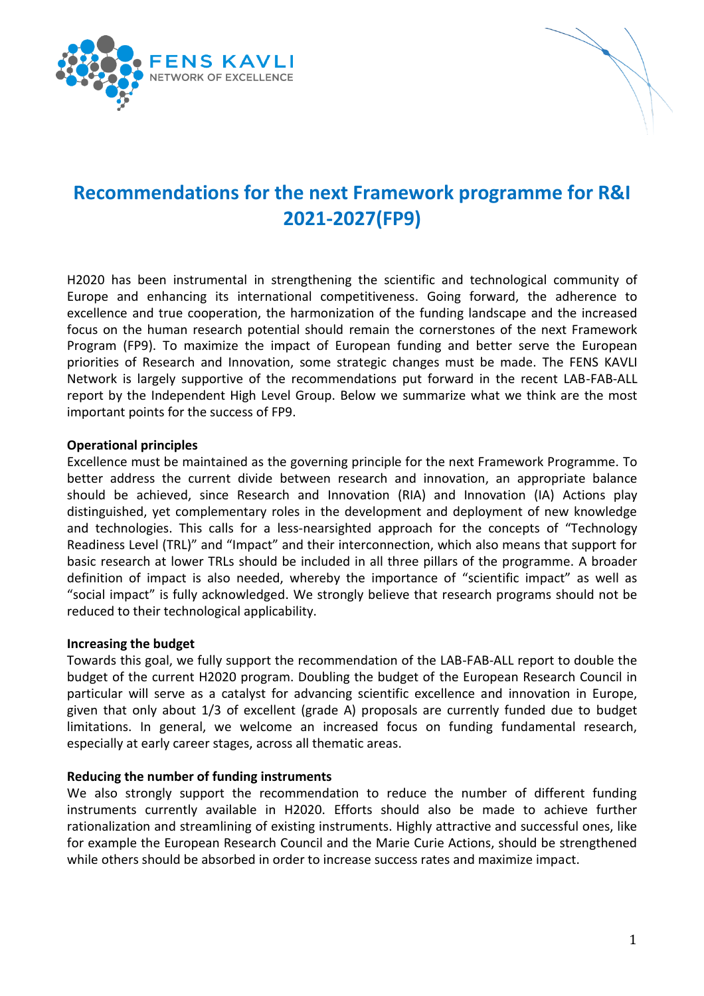



# **Recommendations for the next Framework programme for R&I 2021-2027(FP9)**

H2020 has been instrumental in strengthening the scientific and technological community of Europe and enhancing its international competitiveness. Going forward, the adherence to excellence and true cooperation, the harmonization of the funding landscape and the increased focus on the human research potential should remain the cornerstones of the next Framework Program (FP9). To maximize the impact of European funding and better serve the European priorities of Research and Innovation, some strategic changes must be made. The FENS KAVLI Network is largely supportive of the recommendations put forward in the recent LAB-FAB-ALL report by the Independent High Level Group. Below we summarize what we think are the most important points for the success of FP9.

## **Operational principles**

Excellence must be maintained as the governing principle for the next Framework Programme. To better address the current divide between research and innovation, an appropriate balance should be achieved, since Research and Innovation (RIA) and Innovation (IA) Actions play distinguished, yet complementary roles in the development and deployment of new knowledge and technologies. This calls for a less-nearsighted approach for the concepts of "Technology Readiness Level (TRL)" and "Impact" and their interconnection, which also means that support for basic research at lower TRLs should be included in all three pillars of the programme. A broader definition of impact is also needed, whereby the importance of "scientific impact" as well as "social impact" is fully acknowledged. We strongly believe that research programs should not be reduced to their technological applicability.

### **Increasing the budget**

Towards this goal, we fully support the recommendation of the LAB-FAB-ALL report to double the budget of the current H2020 program. Doubling the budget of the European Research Council in particular will serve as a catalyst for advancing scientific excellence and innovation in Europe, given that only about 1/3 of excellent (grade A) proposals are currently funded due to budget limitations. In general, we welcome an increased focus on funding fundamental research, especially at early career stages, across all thematic areas.

### **Reducing the number of funding instruments**

We also strongly support the recommendation to reduce the number of different funding instruments currently available in H2020. Efforts should also be made to achieve further rationalization and streamlining of existing instruments. Highly attractive and successful ones, like for example the European Research Council and the Marie Curie Actions, should be strengthened while others should be absorbed in order to increase success rates and maximize impact.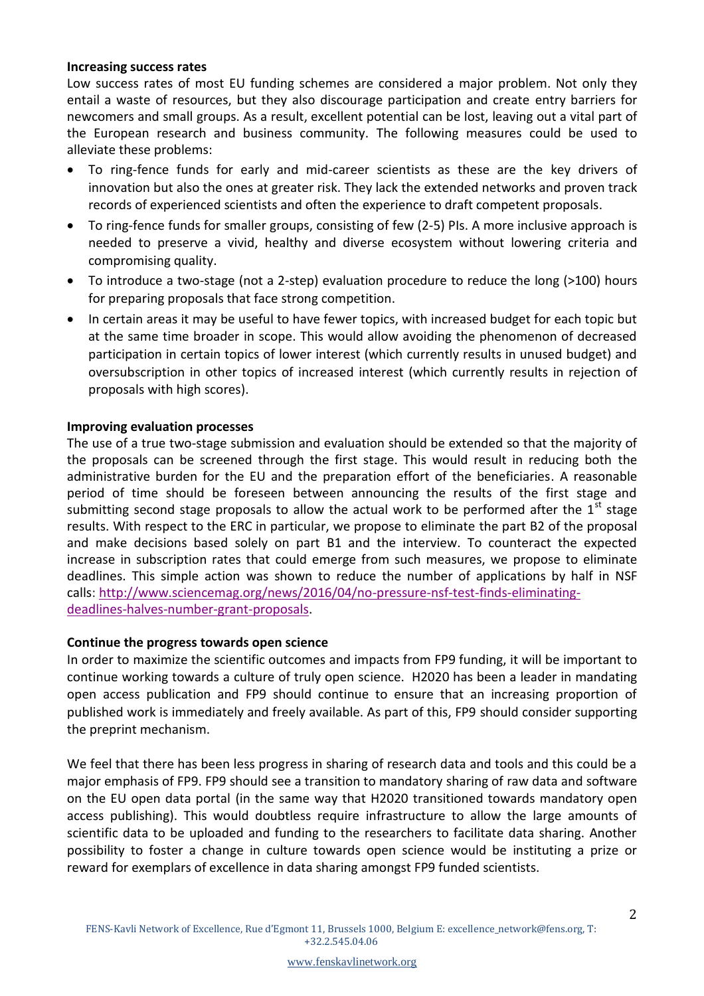#### **Increasing success rates**

Low success rates of most EU funding schemes are considered a major problem. Not only they entail a waste of resources, but they also discourage participation and create entry barriers for newcomers and small groups. As a result, excellent potential can be lost, leaving out a vital part of the European research and business community. The following measures could be used to alleviate these problems:

- To ring-fence funds for early and mid-career scientists as these are the key drivers of innovation but also the ones at greater risk. They lack the extended networks and proven track records of experienced scientists and often the experience to draft competent proposals.
- To ring-fence funds for smaller groups, consisting of few (2-5) PIs. Α more inclusive approach is needed to preserve a vivid, healthy and diverse ecosystem without lowering criteria and compromising quality.
- To introduce a two-stage (not a 2-step) evaluation procedure to reduce the long (>100) hours for preparing proposals that face strong competition.
- In certain areas it may be useful to have fewer topics, with increased budget for each topic but at the same time broader in scope. This would allow avoiding the phenomenon of decreased participation in certain topics of lower interest (which currently results in unused budget) and oversubscription in other topics of increased interest (which currently results in rejection of proposals with high scores).

### **Improving evaluation processes**

The use of a true two-stage submission and evaluation should be extended so that the majority of the proposals can be screened through the first stage. This would result in reducing both the administrative burden for the EU and the preparation effort of the beneficiaries. A reasonable period of time should be foreseen between announcing the results of the first stage and submitting second stage proposals to allow the actual work to be performed after the  $1<sup>st</sup>$  stage results. With respect to the ERC in particular, we propose to eliminate the part B2 of the proposal and make decisions based solely on part B1 and the interview. To counteract the expected increase in subscription rates that could emerge from such measures, we propose to eliminate deadlines. This simple action was shown to reduce the number of applications by half in NSF calls: [http://www.sciencemag.org/news/2016/04/no-pressure-nsf-test-finds-eliminating](http://www.sciencemag.org/news/2016/04/no-pressure-nsf-test-finds-eliminating-deadlines-halves-number-grant-proposals)[deadlines-halves-number-grant-proposals.](http://www.sciencemag.org/news/2016/04/no-pressure-nsf-test-finds-eliminating-deadlines-halves-number-grant-proposals)

### **Continue the progress towards open science**

In order to maximize the scientific outcomes and impacts from FP9 funding, it will be important to continue working towards a culture of truly open science. H2020 has been a leader in mandating open access publication and FP9 should continue to ensure that an increasing proportion of published work is immediately and freely available. As part of this, FP9 should consider supporting the preprint mechanism.

We feel that there has been less progress in sharing of research data and tools and this could be a major emphasis of FP9. FP9 should see a transition to mandatory sharing of raw data and software on the EU open data portal (in the same way that H2020 transitioned towards mandatory open access publishing). This would doubtless require infrastructure to allow the large amounts of scientific data to be uploaded and funding to the researchers to facilitate data sharing. Another possibility to foster a change in culture towards open science would be instituting a prize or reward for exemplars of excellence in data sharing amongst FP9 funded scientists.